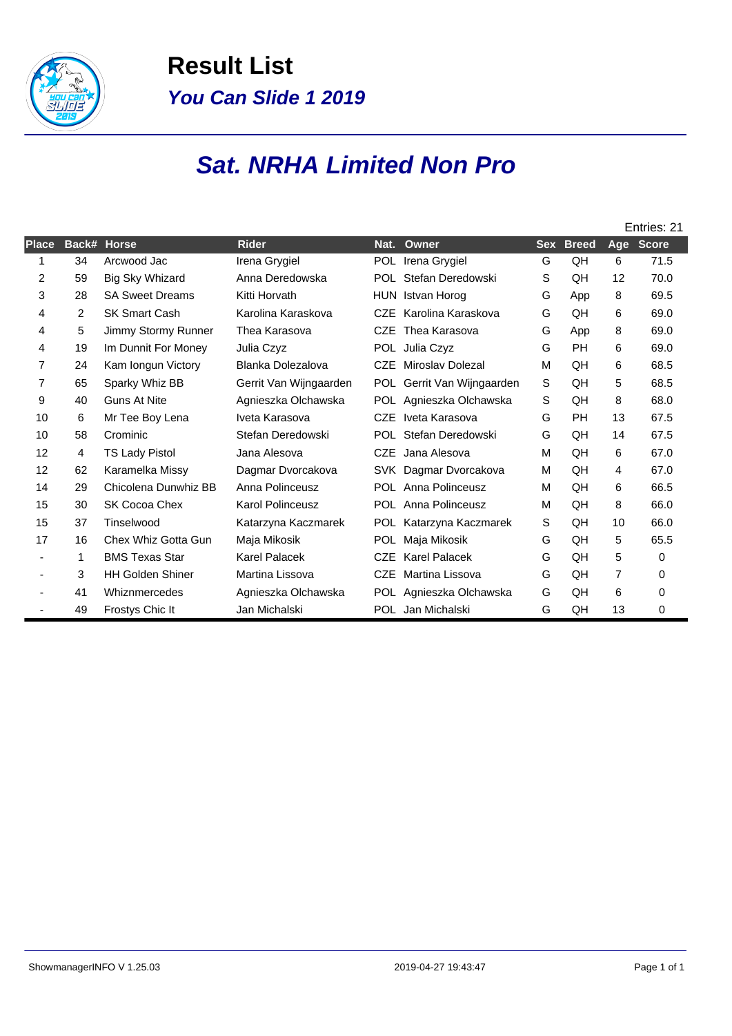

**Result List You Can Slide 1 2019**

## **Sat. NRHA Limited Non Pro**

|                |                |                         |                         |            |                            |            |              |                | Entries: 21  |
|----------------|----------------|-------------------------|-------------------------|------------|----------------------------|------------|--------------|----------------|--------------|
| <b>Place</b>   | Back#          | <b>Horse</b>            | <b>Rider</b>            | Nat.       | Owner                      | <b>Sex</b> | <b>Breed</b> | Age            | <b>Score</b> |
| 1              | 34             | Arcwood Jac             | Irena Grygiel           | POL.       | Irena Grygiel              | G          | QH           | 6              | 71.5         |
| 2              | 59             | <b>Big Sky Whizard</b>  | Anna Deredowska         | POL.       | Stefan Deredowski          | S          | QH           | 12             | 70.0         |
| 3              | 28             | <b>SA Sweet Dreams</b>  | Kitti Horvath           | HUN        | Istvan Horog               | G          | App          | 8              | 69.5         |
| 4              | 2              | <b>SK Smart Cash</b>    | Karolina Karaskova      | <b>CZE</b> | Karolina Karaskova         | G          | QH           | 6              | 69.0         |
| 4              | 5              | Jimmy Stormy Runner     | Thea Karasova           | <b>CZE</b> | Thea Karasova              | G          | App          | 8              | 69.0         |
| 4              | 19             | Im Dunnit For Money     | Julia Czyz              |            | POL Julia Czyz             | G          | PH           | 6              | 69.0         |
| $\overline{7}$ | 24             | Kam longun Victory      | Blanka Dolezalova       | <b>CZE</b> | Miroslav Dolezal           | М          | QH           | 6              | 68.5         |
| 7              | 65             | Sparky Whiz BB          | Gerrit Van Wijngaarden  | POL        | Gerrit Van Wijngaarden     | S          | QH           | 5              | 68.5         |
| 9              | 40             | <b>Guns At Nite</b>     | Agnieszka Olchawska     |            | POL Agnieszka Olchawska    | S          | QH           | 8              | 68.0         |
| 10             | 6              | Mr Tee Boy Lena         | Iveta Karasova          | <b>CZE</b> | Iveta Karasova             | G          | <b>PH</b>    | 13             | 67.5         |
| 10             | 58             | Crominic                | Stefan Deredowski       |            | POL Stefan Deredowski      | G          | QH           | 14             | 67.5         |
| 12             | $\overline{4}$ | <b>TS Lady Pistol</b>   | Jana Alesova            | <b>CZE</b> | Jana Alesova               | M          | QH           | 6              | 67.0         |
| 12             | 62             | Karamelka Missy         | Dagmar Dvorcakova       |            | SVK Dagmar Dvorcakova      | М          | QH           | 4              | 67.0         |
| 14             | 29             | Chicolena Dunwhiz BB    | Anna Polinceusz         |            | POL Anna Polinceusz        | М          | QH           | 6              | 66.5         |
| 15             | 30             | SK Cocoa Chex           | <b>Karol Polinceusz</b> |            | <b>POL</b> Anna Polinceusz | М          | QH           | 8              | 66.0         |
| 15             | 37             | Tinselwood              | Katarzyna Kaczmarek     | POL        | Katarzyna Kaczmarek        | S          | QH           | 10             | 66.0         |
| 17             | 16             | Chex Whiz Gotta Gun     | Maja Mikosik            | POL.       | Maja Mikosik               | G          | QH           | 5              | 65.5         |
|                | 1              | <b>BMS Texas Star</b>   | <b>Karel Palacek</b>    | <b>CZE</b> | <b>Karel Palacek</b>       | G          | QH           | 5              | 0            |
| $\blacksquare$ | 3              | <b>HH Golden Shiner</b> | Martina Lissova         | <b>CZE</b> | Martina Lissova            | G          | QH           | $\overline{7}$ | 0            |
|                | 41             | Whiznmercedes           | Agnieszka Olchawska     |            | POL Agnieszka Olchawska    | G          | QH           | 6              | 0            |
|                | 49             | Frostys Chic It         | Jan Michalski           |            | POL Jan Michalski          | G          | QH           | 13             | 0            |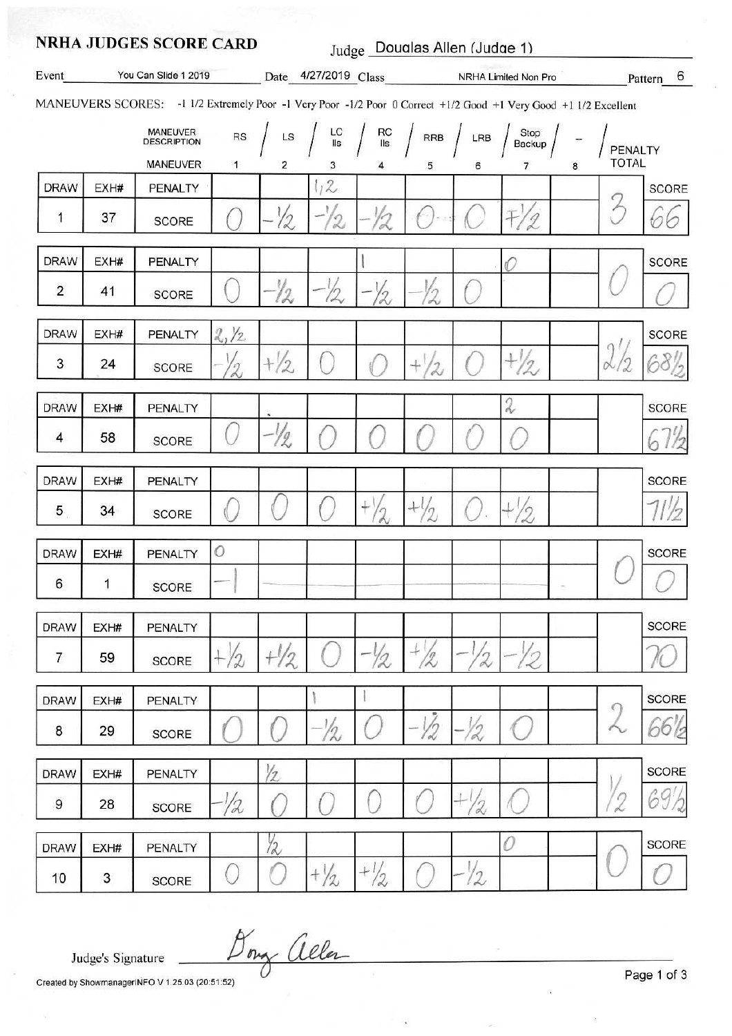|                                       |                                                                                                                  | <b>NRHA JUDGES SCORE CARD</b> | Judge Doualas Allen (Judge 1) |                |                                                                                        |                                                                                                                                                                                  |                |                 |               |         |               |              |  |
|---------------------------------------|------------------------------------------------------------------------------------------------------------------|-------------------------------|-------------------------------|----------------|----------------------------------------------------------------------------------------|----------------------------------------------------------------------------------------------------------------------------------------------------------------------------------|----------------|-----------------|---------------|---------|---------------|--------------|--|
| Event                                 |                                                                                                                  |                               |                               |                | You Can Slide 1 2019 _________ Date 4/27/2019 Class _____________ NRHA Limited Non Pro |                                                                                                                                                                                  |                |                 |               |         | Pattern 6     |              |  |
|                                       | MANEUVERS SCORES: -1 1/2 Extremely Poor -1 Very Poor -1/2 Poor 0 Correct +1/2 Good +1 Very Good +1 1/2 Excellent |                               |                               |                |                                                                                        |                                                                                                                                                                                  |                |                 |               |         |               |              |  |
| MANEUVER<br>DESCRIPTION<br>${\sf RS}$ |                                                                                                                  |                               | LS                            |                |                                                                                        | $\begin{array}{c c c c} \text{LC} & \text{RC} & \text{RCB} & \text{LRB} & \text{Stop} \\ \hline \text{IIs} & \text{IIs} & \text{RRB} & \text{LRB} & \text{Backup} & \end{array}$ |                |                 |               | PENALTY |               |              |  |
|                                       |                                                                                                                  | MANEUVER                      | 1                             | 2              | 3                                                                                      |                                                                                                                                                                                  | 5              | 6               | 7             | 8       | <b>TOTAL</b>  |              |  |
| <b>DRAW</b>                           | EXH#                                                                                                             | PENALTY                       |                               |                | 1/2                                                                                    |                                                                                                                                                                                  |                |                 |               |         |               | <b>SCORE</b> |  |
| 1                                     | 37                                                                                                               | <b>SCORE</b>                  |                               | $\sqrt{2}$     | 2                                                                                      |                                                                                                                                                                                  |                |                 |               |         | $\mathcal{P}$ |              |  |
| <b>DRAW</b>                           | EXH#                                                                                                             | PENALTY                       |                               |                |                                                                                        |                                                                                                                                                                                  |                |                 | O             |         |               | <b>SCORE</b> |  |
| $\overline{2}$                        | 41                                                                                                               | <b>SCORE</b>                  |                               | 12             | 12                                                                                     | l9                                                                                                                                                                               |                |                 |               |         |               |              |  |
| <b>DRAW</b>                           | EXH#                                                                                                             | PENALTY                       | 2/2                           |                |                                                                                        |                                                                                                                                                                                  |                |                 |               |         |               | <b>SCORE</b> |  |
| 3                                     | 24                                                                                                               | <b>SCORE</b>                  |                               | $+\frac{1}{2}$ |                                                                                        |                                                                                                                                                                                  | 2              |                 | $\mathcal{P}$ |         |               |              |  |
| <b>DRAW</b>                           | EXH#                                                                                                             | PENALTY                       |                               |                |                                                                                        |                                                                                                                                                                                  |                |                 | 2             |         |               | <b>SCORE</b> |  |
| 4                                     | 58                                                                                                               | SCORE                         |                               | 12             |                                                                                        |                                                                                                                                                                                  |                |                 |               |         |               |              |  |
| <b>DRAW</b>                           | EXH#                                                                                                             | PENALTY                       |                               |                |                                                                                        |                                                                                                                                                                                  |                |                 |               |         |               | <b>SCORE</b> |  |
| 5                                     | 34                                                                                                               | <b>SCORE</b>                  |                               |                |                                                                                        | $^{+}$<br>$\gamma$                                                                                                                                                               | Ιŋ             |                 | $\gamma$      |         |               |              |  |
| <b>DRAW</b>                           | EXH#                                                                                                             | PENALTY                       | O                             |                |                                                                                        |                                                                                                                                                                                  |                |                 |               |         |               | <b>SCORE</b> |  |
| 6                                     | $\mathbf{1}$                                                                                                     | <b>SCORE</b>                  |                               |                |                                                                                        |                                                                                                                                                                                  |                |                 |               |         |               |              |  |
| <b>DRAW</b>                           | EXH#                                                                                                             | PENALTY                       |                               |                |                                                                                        |                                                                                                                                                                                  |                |                 |               |         |               | <b>SCORE</b> |  |
| $\overline{7}$                        | 59                                                                                                               | SCORE                         | $+ / 2$                       | $+1/2$         |                                                                                        | - 12                                                                                                                                                                             | $\frac{1}{2}$  | 12              |               |         |               |              |  |
| <b>DRAW</b>                           | EXH#                                                                                                             | PENALTY                       |                               |                |                                                                                        |                                                                                                                                                                                  |                |                 |               |         |               | SCORE        |  |
| 8                                     | 29                                                                                                               | SCORE                         |                               |                | $-1/2$                                                                                 |                                                                                                                                                                                  | $-\frac{1}{2}$ | -12             |               |         |               | 100          |  |
| <b>DRAW</b>                           | EXH#                                                                                                             | <b>PENALTY</b>                |                               | $\sqrt{2}$     |                                                                                        |                                                                                                                                                                                  |                |                 |               |         |               | <b>SCORE</b> |  |
| 9                                     | 28                                                                                                               | <b>SCORE</b>                  | 1/2                           |                |                                                                                        |                                                                                                                                                                                  |                | $+ \frac{1}{2}$ |               |         |               |              |  |
| <b>DRAW</b>                           | EXH#                                                                                                             | PENALTY                       |                               | $\frac{1}{2}$  |                                                                                        |                                                                                                                                                                                  |                |                 | 0             |         |               | <b>SCORE</b> |  |
| 10                                    | 3                                                                                                                | <b>SCORE</b>                  | 0                             |                | $+\frac{1}{2}$                                                                         | $+1/2$                                                                                                                                                                           |                | $\frac{1}{2}$   |               |         |               |              |  |

Judge's Signature

Dony allen

Created by ShowmanagerINFO V 1.25.03 (20:51:52)

Page 1 of 3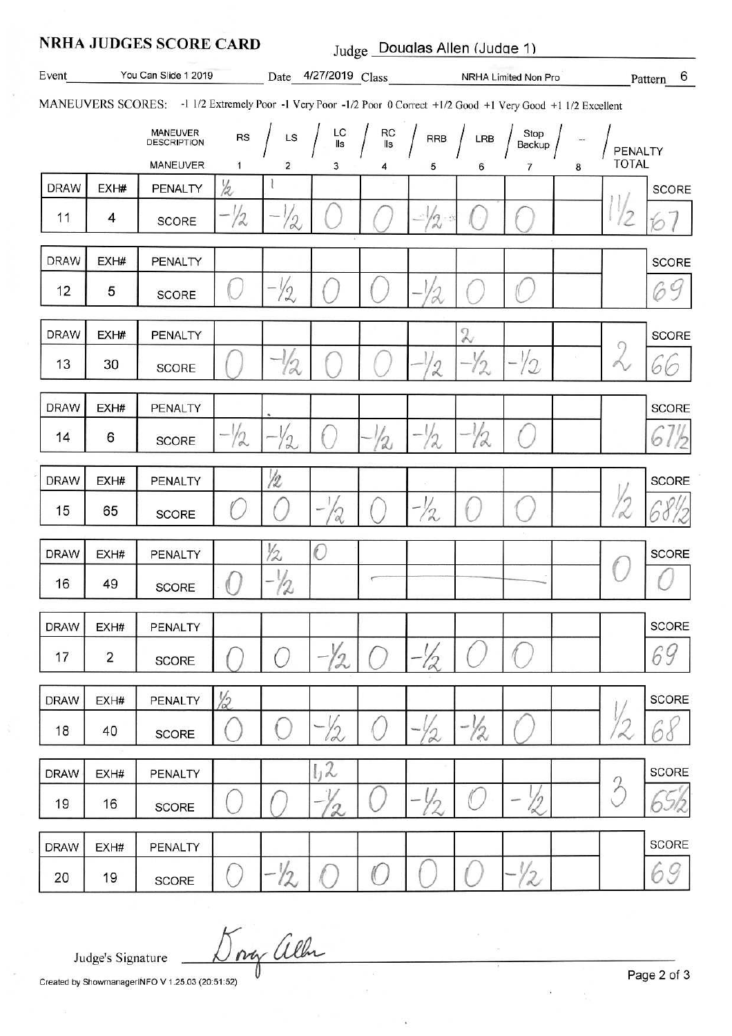## **NRHA JUDGES SCORE CARD** Judge Doualas Allen (Judge 1)

Date 4/27/2019 Class NRHA Limited Non Pro Event You Can Slide 1 2019 6 Pattern

MANEUVERS SCORES: -1 1/2 Extremely Poor -1 Very Poor -1/2 Poor 0 Correct +1/2 Good +1 Very Good +1 1/2 Excellent

|             |                | <b>MANEUVER</b><br><b>DESCRIPTION</b><br><b>MANEUVER</b> | RS<br>1 | LS<br>2      | $LC$<br>$IIs$<br>3 | RC<br>IIs<br>4 | ${\sf RRB}$<br>5 | LRB                        | Stop<br>Backup | 8 | PENALTY<br><b>TOTAL</b> |              |
|-------------|----------------|----------------------------------------------------------|---------|--------------|--------------------|----------------|------------------|----------------------------|----------------|---|-------------------------|--------------|
| <b>DRAW</b> | EXH#           | PENALTY                                                  | 12      |              |                    |                |                  | 6                          | 7              |   |                         | <b>SCORE</b> |
| 11          | 4              | SCORE                                                    | $- / 2$ | $-1$<br>12   |                    |                | - 12 %           | ò.                         |                |   | 72                      | Ý.           |
| <b>DRAW</b> | EXH#           | PENALTY                                                  |         |              |                    |                |                  |                            |                |   |                         | <b>SCORE</b> |
| 12          | 5              | <b>SCORE</b>                                             |         | $-1/2$       |                    |                |                  |                            |                |   |                         | 69           |
| <b>DRAW</b> | EXH#           | PENALTY                                                  |         |              |                    |                |                  | $\boldsymbol{\mathcal{X}}$ |                |   |                         | <b>SCORE</b> |
| 13          | 30             | <b>SCORE</b>                                             |         | 12           |                    |                | 2                | -12                        | 12             |   | 9<br>Á                  | 66           |
| <b>DRAW</b> | EXH#           | PENALTY                                                  |         |              |                    |                |                  |                            |                |   |                         | <b>SCORE</b> |
| 14          | 6              | <b>SCORE</b>                                             | $-72$   | $2^{\prime}$ |                    | 12             | 12               | 12                         |                |   |                         | 6            |
| <b>DRAW</b> | EXH#           | PENALTY                                                  |         | /2           |                    |                |                  |                            |                |   |                         | SCORE        |
| 15          | 65             | <b>SCORE</b>                                             |         |              | '2                 |                | 1/2              |                            |                |   | K                       |              |
| <b>DRAW</b> | EXH#           | PENALTY                                                  |         | 1/2          | $\mathcal{O}$      |                |                  |                            |                |   | ŀ                       | SCORE        |
| 16          | 49             | SCORE                                                    |         | 72           |                    |                |                  |                            |                |   |                         |              |
| <b>DRAW</b> | EXH#           | PENALTY                                                  |         |              |                    |                |                  |                            |                |   |                         | SCORE        |
| 17          | $\overline{c}$ | <b>SCORE</b>                                             |         |              | $-\frac{1}{2}$     |                | 12               |                            |                |   |                         | 69           |
| <b>DRAW</b> | EXH#           | PENALTY                                                  | 12      |              |                    |                |                  |                            |                |   |                         | <b>SCORE</b> |
| 18          | 40             | <b>SCORE</b>                                             |         |              | $-y_2$             |                | 2                | -Y2                        |                |   |                         |              |
| <b>DRAW</b> | EXH#           | PENALTY                                                  |         |              | 1,2                |                |                  |                            |                |   |                         | <b>SCORE</b> |
| 19          | 16             | <b>SCORE</b>                                             |         |              | 2                  |                | 12               |                            | $\sqrt{2}$     |   | $\mathcal{P}$           |              |
| <b>DRAW</b> | EXH#           | PENALTY                                                  |         |              |                    |                |                  |                            |                |   |                         | SCORE        |
| 20          | 19             | <b>SCORE</b>                                             |         | $-1/2$       |                    |                |                  |                            | $-1/2$         |   |                         | h            |

Judge's Signature

Created by ShowmanagerINFO V 1.25.03 (20:51:52)

my allen